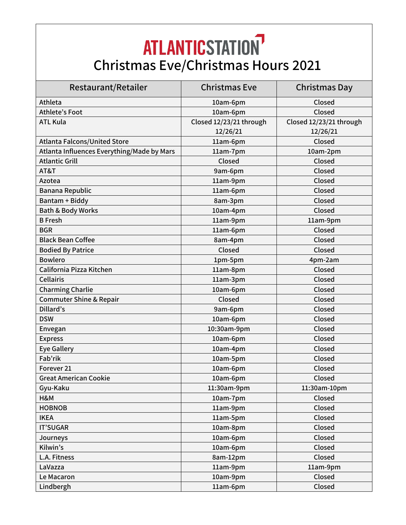## **ATLANTICSTATION Christmas Eve/Christmas Hours 2021**

| Restaurant/Retailer                        | Christmas Eve           | Christmas Day           |
|--------------------------------------------|-------------------------|-------------------------|
| Athleta                                    | 10am-6pm                | Closed                  |
| Athlete's Foot                             | 10am-6pm                | Closed                  |
| <b>ATL Kula</b>                            | Closed 12/23/21 through | Closed 12/23/21 through |
|                                            | 12/26/21                | 12/26/21                |
| <b>Atlanta Falcons/United Store</b>        | 11am-6pm                | Closed                  |
| Atlanta Influences Everything/Made by Mars | 11am-7pm                | 10am-2pm                |
| <b>Atlantic Grill</b>                      | Closed                  | Closed                  |
| AT&T                                       | 9am-6pm                 | Closed                  |
| Azotea                                     | 11am-9pm                | Closed                  |
| Banana Republic                            | 11am-6pm                | Closed                  |
| Bantam + Biddy                             | 8am-3pm                 | Closed                  |
| <b>Bath &amp; Body Works</b>               | 10am-4pm                | Closed                  |
| <b>B</b> Fresh                             | 11am-9pm                | 11am-9pm                |
| <b>BGR</b>                                 | 11am-6pm                | Closed                  |
| <b>Black Bean Coffee</b>                   | 8am-4pm                 | Closed                  |
| <b>Bodied By Patrice</b>                   | Closed                  | Closed                  |
| <b>Bowlero</b>                             | 1pm-5pm                 | 4pm-2am                 |
| California Pizza Kitchen                   | 11am-8pm                | Closed                  |
| <b>Cellairis</b>                           | 11am-3pm                | Closed                  |
| <b>Charming Charlie</b>                    | 10am-6pm                | Closed                  |
| <b>Commuter Shine &amp; Repair</b>         | Closed                  | Closed                  |
| Dillard's                                  | 9am-6pm                 | Closed                  |
| <b>DSW</b>                                 | 10am-6pm                | Closed                  |
| Envegan                                    | 10:30am-9pm             | Closed                  |
| <b>Express</b>                             | 10am-6pm                | Closed                  |
| <b>Eye Gallery</b>                         | 10am-4pm                | Closed                  |
| Fab'rik                                    | 10am-5pm                | Closed                  |
| Forever <sub>21</sub>                      | 10am-6pm                | Closed                  |
| <b>Great American Cookie</b>               | 10am-6pm                | Closed                  |
| Gyu-Kaku                                   | 11:30am-9pm             | 11:30am-10pm            |
| H&M                                        | 10am-7pm                | Closed                  |
| <b>HOBNOB</b>                              | 11am-9pm                | Closed                  |
| <b>IKEA</b>                                | 11am-5pm                | Closed                  |
| <b>IT'SUGAR</b>                            | 10am-8pm                | Closed                  |
| Journeys                                   | 10am-6pm                | Closed                  |
| Kilwin's                                   | 10am-6pm                | Closed                  |
| L.A. Fitness                               | 8am-12pm                | Closed                  |
| LaVazza                                    | 11am-9pm                | 11am-9pm                |
| Le Macaron                                 | 10am-9pm                | Closed                  |
| Lindbergh                                  | 11am-6pm                | Closed                  |